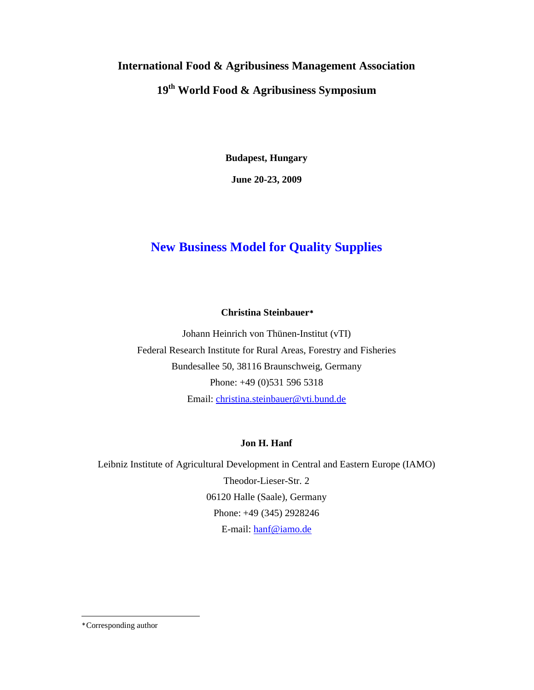# **International Food & Agribusiness Management Association 19th World Food & Agribusiness Symposium**

**Budapest, Hungary** 

**June 20-23, 2009** 

## **New Business Model for Quality Supplies**

## **Christina Steinbauer**<sup>∗</sup>

Johann Heinrich von Thünen-Institut (vTI) Federal Research Institute for Rural Areas, Forestry and Fisheries Bundesallee 50, 38116 Braunschweig, Germany Phone: +49 (0)531 596 5318 Email: christina.steinbauer@vti.bund.de

## **Jon H. Hanf**

Leibniz Institute of Agricultural Development in Central and Eastern Europe (IAMO) Theodor-Lieser-Str. 2 06120 Halle (Saale), Germany Phone: +49 (345) 2928246 E-mail: hanf@iamo.de

-

<sup>∗</sup> Corresponding author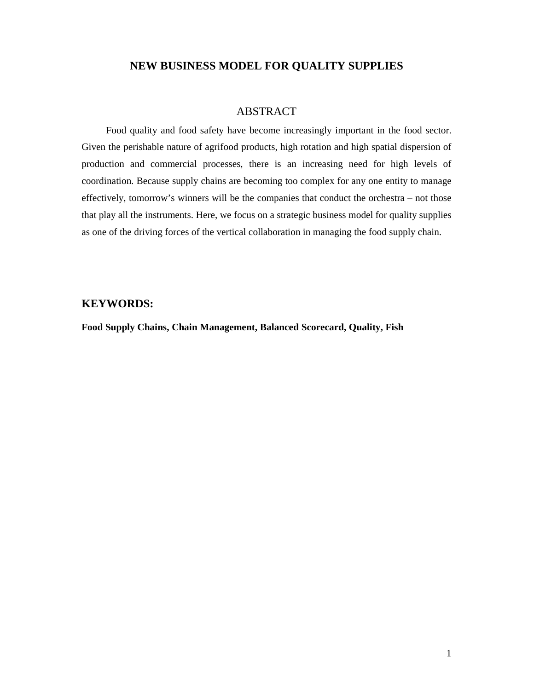## **NEW BUSINESS MODEL FOR QUALITY SUPPLIES**

### ABSTRACT

Food quality and food safety have become increasingly important in the food sector. Given the perishable nature of agrifood products, high rotation and high spatial dispersion of production and commercial processes, there is an increasing need for high levels of coordination. Because supply chains are becoming too complex for any one entity to manage effectively, tomorrow's winners will be the companies that conduct the orchestra – not those that play all the instruments. Here, we focus on a strategic business model for quality supplies as one of the driving forces of the vertical collaboration in managing the food supply chain.

#### **KEYWORDS:**

**Food Supply Chains, Chain Management, Balanced Scorecard, Quality, Fish**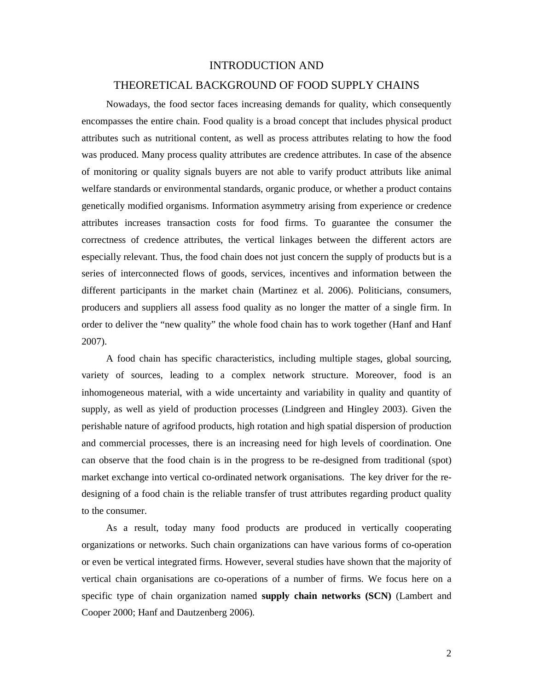#### INTRODUCTION AND

#### THEORETICAL BACKGROUND OF FOOD SUPPLY CHAINS

Nowadays, the food sector faces increasing demands for quality, which consequently encompasses the entire chain. Food quality is a broad concept that includes physical product attributes such as nutritional content, as well as process attributes relating to how the food was produced. Many process quality attributes are credence attributes. In case of the absence of monitoring or quality signals buyers are not able to varify product attributs like animal welfare standards or environmental standards, organic produce, or whether a product contains genetically modified organisms. Information asymmetry arising from experience or credence attributes increases transaction costs for food firms. To guarantee the consumer the correctness of credence attributes, the vertical linkages between the different actors are especially relevant. Thus, the food chain does not just concern the supply of products but is a series of interconnected flows of goods, services, incentives and information between the different participants in the market chain (Martinez et al. 2006). Politicians, consumers, producers and suppliers all assess food quality as no longer the matter of a single firm. In order to deliver the "new quality" the whole food chain has to work together (Hanf and Hanf 2007).

A food chain has specific characteristics, including multiple stages, global sourcing, variety of sources, leading to a complex network structure. Moreover, food is an inhomogeneous material, with a wide uncertainty and variability in quality and quantity of supply, as well as yield of production processes (Lindgreen and Hingley 2003). Given the perishable nature of agrifood products, high rotation and high spatial dispersion of production and commercial processes, there is an increasing need for high levels of coordination. One can observe that the food chain is in the progress to be re-designed from traditional (spot) market exchange into vertical co-ordinated network organisations. The key driver for the redesigning of a food chain is the reliable transfer of trust attributes regarding product quality to the consumer.

As a result, today many food products are produced in vertically cooperating organizations or networks. Such chain organizations can have various forms of co-operation or even be vertical integrated firms. However, several studies have shown that the majority of vertical chain organisations are co-operations of a number of firms. We focus here on a specific type of chain organization named **supply chain networks (SCN)** (Lambert and Cooper 2000; Hanf and Dautzenberg 2006).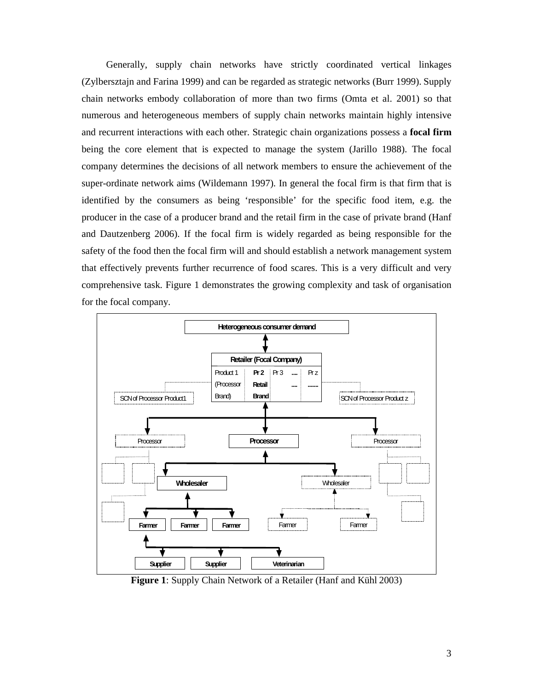Generally, supply chain networks have strictly coordinated vertical linkages (Zylbersztajn and Farina 1999) and can be regarded as strategic networks (Burr 1999). Supply chain networks embody collaboration of more than two firms (Omta et al. 2001) so that numerous and heterogeneous members of supply chain networks maintain highly intensive and recurrent interactions with each other. Strategic chain organizations possess a **focal firm** being the core element that is expected to manage the system (Jarillo 1988). The focal company determines the decisions of all network members to ensure the achievement of the super-ordinate network aims (Wildemann 1997). In general the focal firm is that firm that is identified by the consumers as being 'responsible' for the specific food item, e.g. the producer in the case of a producer brand and the retail firm in the case of private brand (Hanf and Dautzenberg 2006). If the focal firm is widely regarded as being responsible for the safety of the food then the focal firm will and should establish a network management system that effectively prevents further recurrence of food scares. This is a very difficult and very comprehensive task. Figure 1 demonstrates the growing complexity and task of organisation for the focal company.



**Figure 1**: Supply Chain Network of a Retailer (Hanf and Kühl 2003)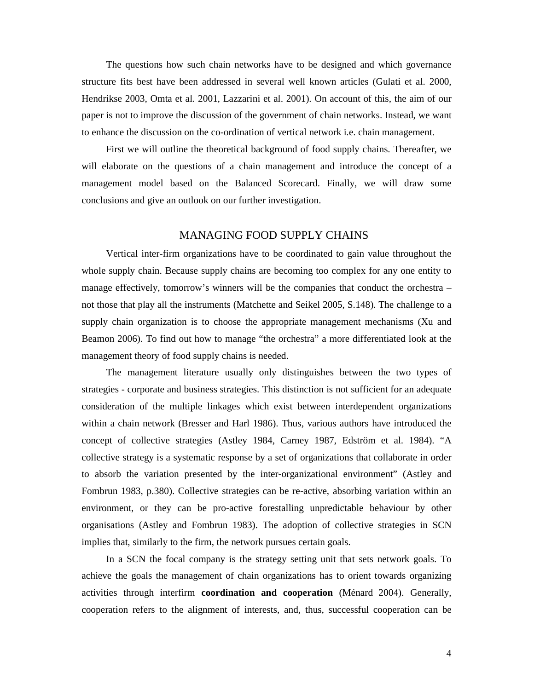The questions how such chain networks have to be designed and which governance structure fits best have been addressed in several well known articles (Gulati et al. 2000, Hendrikse 2003, Omta et al. 2001, Lazzarini et al. 2001). On account of this, the aim of our paper is not to improve the discussion of the government of chain networks. Instead, we want to enhance the discussion on the co-ordination of vertical network i.e. chain management.

First we will outline the theoretical background of food supply chains. Thereafter, we will elaborate on the questions of a chain management and introduce the concept of a management model based on the Balanced Scorecard. Finally, we will draw some conclusions and give an outlook on our further investigation.

#### MANAGING FOOD SUPPLY CHAINS

Vertical inter-firm organizations have to be coordinated to gain value throughout the whole supply chain. Because supply chains are becoming too complex for any one entity to manage effectively, tomorrow's winners will be the companies that conduct the orchestra – not those that play all the instruments (Matchette and Seikel 2005, S.148). The challenge to a supply chain organization is to choose the appropriate management mechanisms (Xu and Beamon 2006). To find out how to manage "the orchestra" a more differentiated look at the management theory of food supply chains is needed.

The management literature usually only distinguishes between the two types of strategies - corporate and business strategies. This distinction is not sufficient for an adequate consideration of the multiple linkages which exist between interdependent organizations within a chain network (Bresser and Harl 1986). Thus, various authors have introduced the concept of collective strategies (Astley 1984, Carney 1987, Edström et al. 1984). "A collective strategy is a systematic response by a set of organizations that collaborate in order to absorb the variation presented by the inter-organizational environment" (Astley and Fombrun 1983, p.380). Collective strategies can be re-active, absorbing variation within an environment, or they can be pro-active forestalling unpredictable behaviour by other organisations (Astley and Fombrun 1983). The adoption of collective strategies in SCN implies that, similarly to the firm, the network pursues certain goals.

In a SCN the focal company is the strategy setting unit that sets network goals. To achieve the goals the management of chain organizations has to orient towards organizing activities through interfirm **coordination and cooperation** (Ménard 2004). Generally, cooperation refers to the alignment of interests, and, thus, successful cooperation can be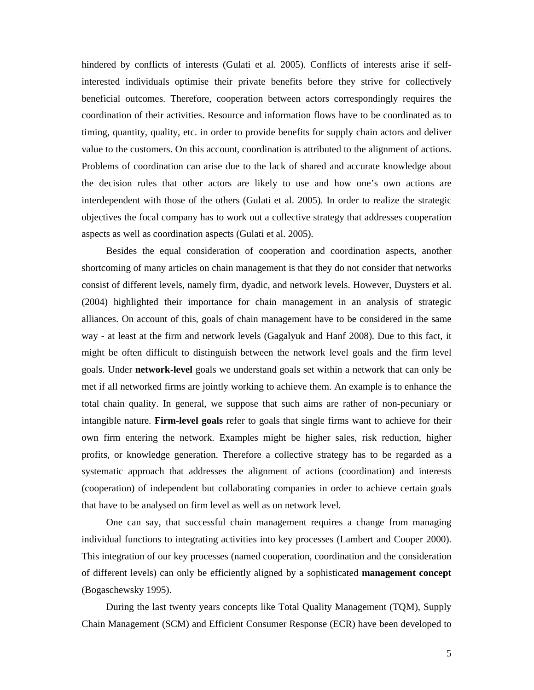hindered by conflicts of interests (Gulati et al. 2005). Conflicts of interests arise if selfinterested individuals optimise their private benefits before they strive for collectively beneficial outcomes. Therefore, cooperation between actors correspondingly requires the coordination of their activities. Resource and information flows have to be coordinated as to timing, quantity, quality, etc. in order to provide benefits for supply chain actors and deliver value to the customers. On this account, coordination is attributed to the alignment of actions. Problems of coordination can arise due to the lack of shared and accurate knowledge about the decision rules that other actors are likely to use and how one's own actions are interdependent with those of the others (Gulati et al. 2005). In order to realize the strategic objectives the focal company has to work out a collective strategy that addresses cooperation aspects as well as coordination aspects (Gulati et al. 2005).

Besides the equal consideration of cooperation and coordination aspects, another shortcoming of many articles on chain management is that they do not consider that networks consist of different levels, namely firm, dyadic, and network levels. However, Duysters et al. (2004) highlighted their importance for chain management in an analysis of strategic alliances. On account of this, goals of chain management have to be considered in the same way - at least at the firm and network levels (Gagalyuk and Hanf 2008). Due to this fact, it might be often difficult to distinguish between the network level goals and the firm level goals. Under **network-level** goals we understand goals set within a network that can only be met if all networked firms are jointly working to achieve them. An example is to enhance the total chain quality. In general, we suppose that such aims are rather of non-pecuniary or intangible nature. **Firm-level goals** refer to goals that single firms want to achieve for their own firm entering the network. Examples might be higher sales, risk reduction, higher profits, or knowledge generation. Therefore a collective strategy has to be regarded as a systematic approach that addresses the alignment of actions (coordination) and interests (cooperation) of independent but collaborating companies in order to achieve certain goals that have to be analysed on firm level as well as on network level.

One can say, that successful chain management requires a change from managing individual functions to integrating activities into key processes (Lambert and Cooper 2000). This integration of our key processes (named cooperation, coordination and the consideration of different levels) can only be efficiently aligned by a sophisticated **management concept** (Bogaschewsky 1995).

During the last twenty years concepts like Total Quality Management (TQM), Supply Chain Management (SCM) and Efficient Consumer Response (ECR) have been developed to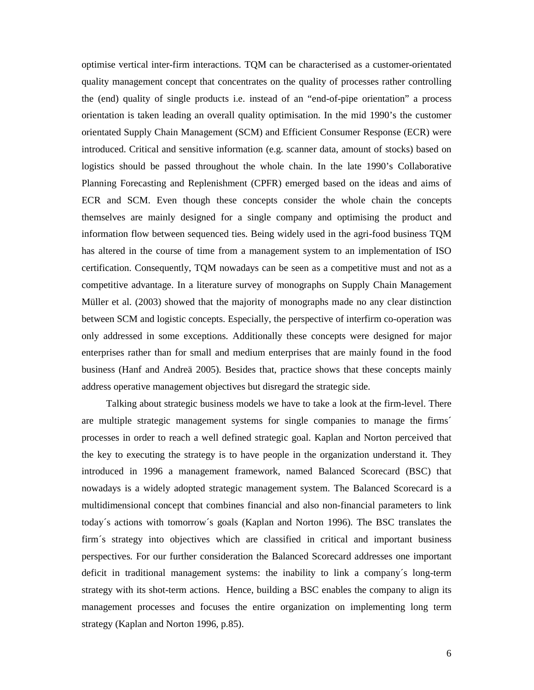optimise vertical inter-firm interactions. TQM can be characterised as a customer-orientated quality management concept that concentrates on the quality of processes rather controlling the (end) quality of single products i.e. instead of an "end-of-pipe orientation" a process orientation is taken leading an overall quality optimisation. In the mid 1990's the customer orientated Supply Chain Management (SCM) and Efficient Consumer Response (ECR) were introduced. Critical and sensitive information (e.g. scanner data, amount of stocks) based on logistics should be passed throughout the whole chain. In the late 1990's Collaborative Planning Forecasting and Replenishment (CPFR) emerged based on the ideas and aims of ECR and SCM. Even though these concepts consider the whole chain the concepts themselves are mainly designed for a single company and optimising the product and information flow between sequenced ties. Being widely used in the agri-food business TQM has altered in the course of time from a management system to an implementation of ISO certification. Consequently, TQM nowadays can be seen as a competitive must and not as a competitive advantage. In a literature survey of monographs on Supply Chain Management Müller et al. (2003) showed that the majority of monographs made no any clear distinction between SCM and logistic concepts. Especially, the perspective of interfirm co-operation was only addressed in some exceptions. Additionally these concepts were designed for major enterprises rather than for small and medium enterprises that are mainly found in the food business (Hanf and Andreä 2005). Besides that, practice shows that these concepts mainly address operative management objectives but disregard the strategic side.

Talking about strategic business models we have to take a look at the firm-level. There are multiple strategic management systems for single companies to manage the firms´ processes in order to reach a well defined strategic goal. Kaplan and Norton perceived that the key to executing the strategy is to have people in the organization understand it. They introduced in 1996 a management framework, named Balanced Scorecard (BSC) that nowadays is a widely adopted strategic management system. The Balanced Scorecard is a multidimensional concept that combines financial and also non-financial parameters to link today´s actions with tomorrow´s goals (Kaplan and Norton 1996). The BSC translates the firm´s strategy into objectives which are classified in critical and important business perspectives. For our further consideration the Balanced Scorecard addresses one important deficit in traditional management systems: the inability to link a company´s long-term strategy with its shot-term actions. Hence, building a BSC enables the company to align its management processes and focuses the entire organization on implementing long term strategy (Kaplan and Norton 1996, p.85).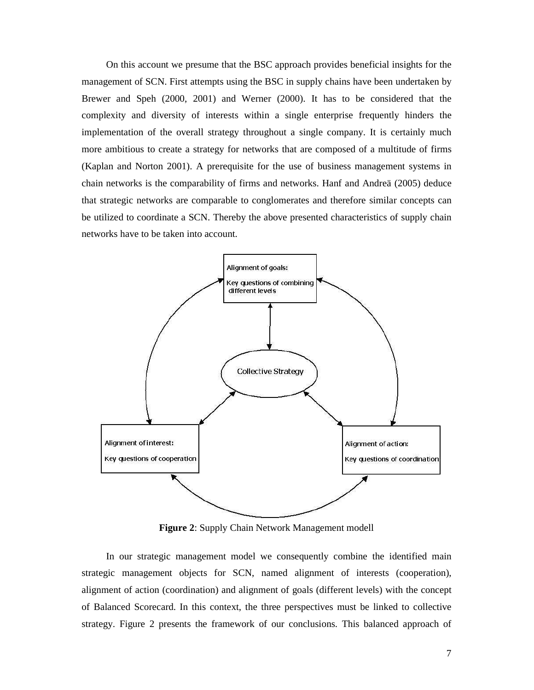On this account we presume that the BSC approach provides beneficial insights for the management of SCN. First attempts using the BSC in supply chains have been undertaken by Brewer and Speh (2000, 2001) and Werner (2000). It has to be considered that the complexity and diversity of interests within a single enterprise frequently hinders the implementation of the overall strategy throughout a single company. It is certainly much more ambitious to create a strategy for networks that are composed of a multitude of firms (Kaplan and Norton 2001). A prerequisite for the use of business management systems in chain networks is the comparability of firms and networks. Hanf and Andreä (2005) deduce that strategic networks are comparable to conglomerates and therefore similar concepts can be utilized to coordinate a SCN. Thereby the above presented characteristics of supply chain networks have to be taken into account.



**Figure 2**: Supply Chain Network Management modell

In our strategic management model we consequently combine the identified main strategic management objects for SCN, named alignment of interests (cooperation), alignment of action (coordination) and alignment of goals (different levels) with the concept of Balanced Scorecard. In this context, the three perspectives must be linked to collective strategy. Figure 2 presents the framework of our conclusions. This balanced approach of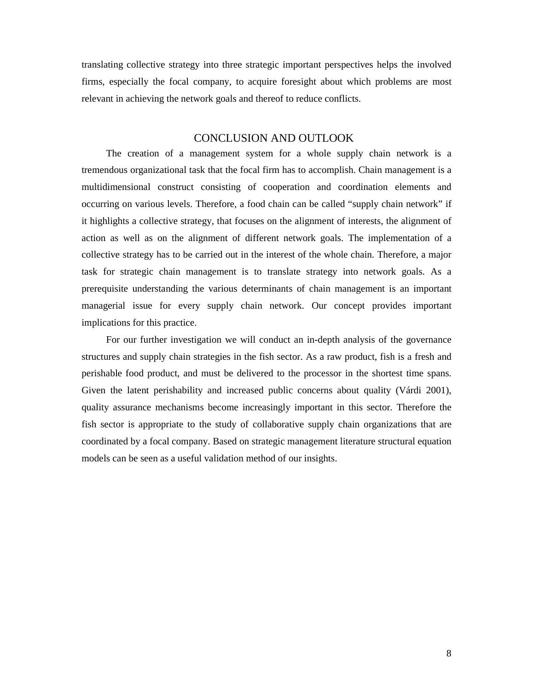translating collective strategy into three strategic important perspectives helps the involved firms, especially the focal company, to acquire foresight about which problems are most relevant in achieving the network goals and thereof to reduce conflicts.

#### CONCLUSION AND OUTLOOK

The creation of a management system for a whole supply chain network is a tremendous organizational task that the focal firm has to accomplish. Chain management is a multidimensional construct consisting of cooperation and coordination elements and occurring on various levels. Therefore, a food chain can be called "supply chain network" if it highlights a collective strategy, that focuses on the alignment of interests, the alignment of action as well as on the alignment of different network goals. The implementation of a collective strategy has to be carried out in the interest of the whole chain. Therefore, a major task for strategic chain management is to translate strategy into network goals. As a prerequisite understanding the various determinants of chain management is an important managerial issue for every supply chain network. Our concept provides important implications for this practice.

For our further investigation we will conduct an in-depth analysis of the governance structures and supply chain strategies in the fish sector. As a raw product, fish is a fresh and perishable food product, and must be delivered to the processor in the shortest time spans. Given the latent perishability and increased public concerns about quality (Várdi 2001), quality assurance mechanisms become increasingly important in this sector. Therefore the fish sector is appropriate to the study of collaborative supply chain organizations that are coordinated by a focal company. Based on strategic management literature structural equation models can be seen as a useful validation method of our insights.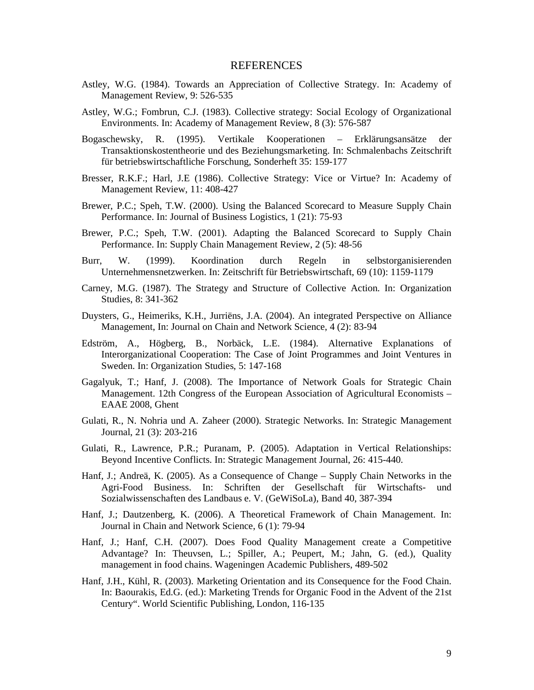#### REFERENCES

- Astley, W.G. (1984). Towards an Appreciation of Collective Strategy. In: Academy of Management Review, 9: 526-535
- Astley, W.G.; Fombrun, C.J. (1983). Collective strategy: Social Ecology of Organizational Environments. In: Academy of Management Review, 8 (3): 576-587
- Bogaschewsky, R. (1995). Vertikale Kooperationen Erklärungsansätze der Transaktionskostentheorie und des Beziehungsmarketing. In: Schmalenbachs Zeitschrift für betriebswirtschaftliche Forschung, Sonderheft 35: 159-177
- Bresser, R.K.F.; Harl, J.E (1986). Collective Strategy: Vice or Virtue? In: Academy of Management Review, 11: 408-427
- Brewer, P.C.; Speh, T.W. (2000). Using the Balanced Scorecard to Measure Supply Chain Performance. In: Journal of Business Logistics, 1 (21): 75-93
- Brewer, P.C.; Speh, T.W. (2001). Adapting the Balanced Scorecard to Supply Chain Performance. In: Supply Chain Management Review, 2 (5): 48-56
- Burr, W. (1999). Koordination durch Regeln in selbstorganisierenden Unternehmensnetzwerken. In: Zeitschrift für Betriebswirtschaft, 69 (10): 1159-1179
- Carney, M.G. (1987). The Strategy and Structure of Collective Action. In: Organization Studies, 8: 341-362
- Duysters, G., Heimeriks, K.H., Jurriëns, J.A. (2004). An integrated Perspective on Alliance Management, In: Journal on Chain and Network Science, 4 (2): 83-94
- Edström, A., Högberg, B., Norbäck, L.E. (1984). Alternative Explanations of Interorganizational Cooperation: The Case of Joint Programmes and Joint Ventures in Sweden. In: Organization Studies, 5: 147-168
- Gagalyuk, T.; Hanf, J. (2008). The Importance of Network Goals for Strategic Chain Management. 12th Congress of the European Association of Agricultural Economists – EAAE 2008, Ghent
- Gulati, R., N. Nohria und A. Zaheer (2000). Strategic Networks. In: Strategic Management Journal, 21 (3): 203-216
- Gulati, R., Lawrence, P.R.; Puranam, P. (2005). Adaptation in Vertical Relationships: Beyond Incentive Conflicts. In: Strategic Management Journal, 26: 415-440.
- Hanf, J.; Andreä, K. (2005). As a Consequence of Change Supply Chain Networks in the Agri-Food Business. In: Schriften der Gesellschaft für Wirtschafts- und Sozialwissenschaften des Landbaus e. V. (GeWiSoLa), Band 40, 387-394
- Hanf, J.; Dautzenberg, K. (2006). A Theoretical Framework of Chain Management. In: Journal in Chain and Network Science, 6 (1): 79-94
- Hanf, J.; Hanf, C.H. (2007). Does Food Quality Management create a Competitive Advantage? In: Theuvsen, L.; Spiller, A.; Peupert, M.; Jahn, G. (ed.), Quality management in food chains. Wageningen Academic Publishers, 489-502
- Hanf, J.H., Kühl, R. (2003). Marketing Orientation and its Consequence for the Food Chain. In: Baourakis, Ed.G. (ed.): Marketing Trends for Organic Food in the Advent of the 21st Century". World Scientific Publishing, London, 116-135